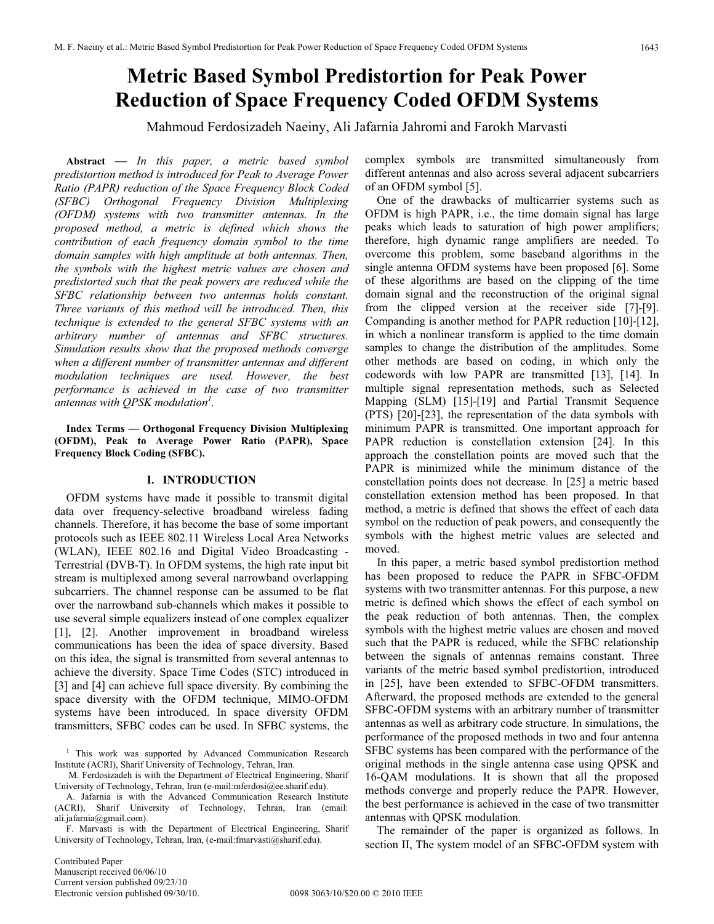# **Metric Based Symbol Predistortion for Peak Power Reduction of Space Frequency Coded OFDM Systems**

Mahmoud Ferdosizadeh Naeiny, Ali Jafarnia Jahromi and Farokh Marvasti

**Abstract** *— In this paper, a metric based symbol predistortion method is introduced for Peak to Average Power Ratio (PAPR) reduction of the Space Frequency Block Coded (SFBC) Orthogonal Frequency Division Multiplexing (OFDM) systems with two transmitter antennas. In the proposed method, a metric is defined which shows the contribution of each frequency domain symbol to the time domain samples with high amplitude at both antennas. Then, the symbols with the highest metric values are chosen and predistorted such that the peak powers are reduced while the SFBC relationship between two antennas holds constant. Three variants of this method will be introduced. Then, this technique is extended to the general SFBC systems with an arbitrary number of antennas and SFBC structures. Simulation results show that the proposed methods converge when a different number of transmitter antennas and different modulation techniques are used. However, the best performance is achieved in the case of two transmitter antennas with QPSK modulation1 .*

**Index Terms — Orthogonal Frequency Division Multiplexing (OFDM), Peak to Average Power Ratio (PAPR), Space Frequency Block Coding (SFBC).** 

## **I. INTRODUCTION**

OFDM systems have made it possible to transmit digital data over frequency-selective broadband wireless fading channels. Therefore, it has become the base of some important protocols such as IEEE 802.11 Wireless Local Area Networks (WLAN), IEEE 802.16 and Digital Video Broadcasting - Terrestrial (DVB-T). In OFDM systems, the high rate input bit stream is multiplexed among several narrowband overlapping subcarriers. The channel response can be assumed to be flat over the narrowband sub-channels which makes it possible to use several simple equalizers instead of one complex equalizer [1], [2]. Another improvement in broadband wireless communications has been the idea of space diversity. Based on this idea, the signal is transmitted from several antennas to achieve the diversity. Space Time Codes (STC) introduced in [3] and [4] can achieve full space diversity. By combining the space diversity with the OFDM technique, MIMO-OFDM systems have been introduced. In space diversity OFDM transmitters, SFBC codes can be used. In SFBC systems, the

<sup>1</sup> This work was supported by Advanced Communication Research Institute (ACRI), Sharif University of Technology, Tehran, Iran.

 M. Ferdosizadeh is with the Department of Electrical Engineering, Sharif University of Technology, Tehran, Iran (e-mail:mferdosi@ee.sharif.edu).

A. Jafarnia is with the Advanced Communication Research Institute (ACRI), Sharif University of Technology, Tehran, Iran (email: ali.jafarnia@gmail.com).

F. Marvasti is with the Department of Electrical Engineering, Sharif University of Technology, Tehran, Iran, (e-mail:fmarvasti@sharif.edu).

Contributed Paper Manuscript received 06/06/10 Current version published 09/23/10 Electronic version published 09/30/10. 0098 3063/10/\$20.00  $\degree$  2010 IEEE

complex symbols are transmitted simultaneously from different antennas and also across several adjacent subcarriers of an OFDM symbol [5].

One of the drawbacks of multicarrier systems such as OFDM is high PAPR, i.e., the time domain signal has large peaks which leads to saturation of high power amplifiers; therefore, high dynamic range amplifiers are needed. To overcome this problem, some baseband algorithms in the single antenna OFDM systems have been proposed [6]. Some of these algorithms are based on the clipping of the time domain signal and the reconstruction of the original signal from the clipped version at the receiver side [7]-[9]. Companding is another method for PAPR reduction [10]-[12], in which a nonlinear transform is applied to the time domain samples to change the distribution of the amplitudes. Some other methods are based on coding, in which only the codewords with low PAPR are transmitted [13], [14]. In multiple signal representation methods, such as Selected Mapping (SLM) [15]-[19] and Partial Transmit Sequence (PTS) [20]-[23], the representation of the data symbols with minimum PAPR is transmitted. One important approach for PAPR reduction is constellation extension [24]. In this approach the constellation points are moved such that the PAPR is minimized while the minimum distance of the constellation points does not decrease. In [25] a metric based constellation extension method has been proposed. In that method, a metric is defined that shows the effect of each data symbol on the reduction of peak powers, and consequently the symbols with the highest metric values are selected and moved.

In this paper, a metric based symbol predistortion method has been proposed to reduce the PAPR in SFBC-OFDM systems with two transmitter antennas. For this purpose, a new metric is defined which shows the effect of each symbol on the peak reduction of both antennas. Then, the complex symbols with the highest metric values are chosen and moved such that the PAPR is reduced, while the SFBC relationship between the signals of antennas remains constant. Three variants of the metric based symbol predistortion, introduced in [25], have been extended to SFBC-OFDM transmitters. Afterward, the proposed methods are extended to the general SFBC-OFDM systems with an arbitrary number of transmitter antennas as well as arbitrary code structure. In simulations, the performance of the proposed methods in two and four antenna SFBC systems has been compared with the performance of the original methods in the single antenna case using QPSK and 16-QAM modulations. It is shown that all the proposed methods converge and properly reduce the PAPR. However, the best performance is achieved in the case of two transmitter antennas with QPSK modulation.

The remainder of the paper is organized as follows. In section II, The system model of an SFBC-OFDM system with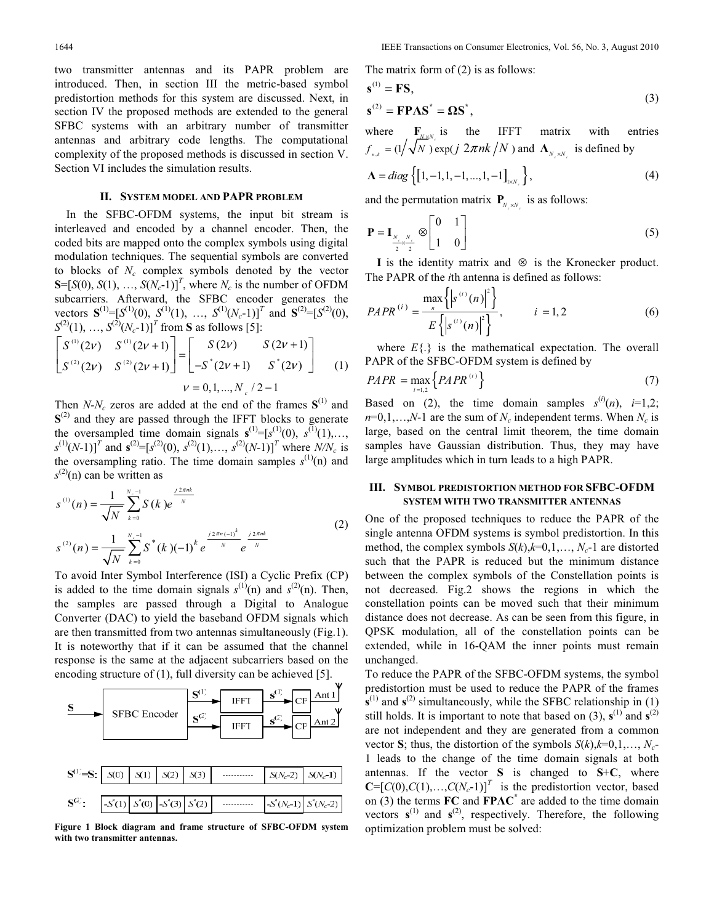two transmitter antennas and its PAPR problem are introduced. Then, in section III the metric-based symbol predistortion methods for this system are discussed. Next, in section IV the proposed methods are extended to the general SFBC systems with an arbitrary number of transmitter antennas and arbitrary code lengths. The computational complexity of the proposed methods is discussed in section V. Section VI includes the simulation results.

### **II. SYSTEM MODEL AND PAPR PROBLEM**

In the SFBC-OFDM systems, the input bit stream is interleaved and encoded by a channel encoder. Then, the coded bits are mapped onto the complex symbols using digital modulation techniques. The sequential symbols are converted to blocks of  $N_c$  complex symbols denoted by the vector  $\mathbf{S} = [S(0), S(1), \dots, S(N_c-1)]^T$ , where  $N_c$  is the number of OFDM subcarriers. Afterward, the SFBC encoder generates the vectors  $\mathbf{S}^{(1)}=[\mathbf{S}^{(1)}(0), \ \mathbf{S}^{(1)}(1), \ \ldots, \ \mathbf{S}^{(1)}(N_c-1)]^T$  and  $\mathbf{S}^{(2)}=[\mathbf{S}^{(2)}(0),$  $S^{(2)}(1), ..., S^{(2)}(N_c-1)$ <sup>T</sup> from **S** as follows [5]:

$$
\begin{bmatrix} S^{(1)}(2\nu) & S^{(1)}(2\nu+1) \ S^{(2)}(2\nu) & S^{(2)}(2\nu+1) \end{bmatrix} = \begin{bmatrix} S(2\nu) & S(2\nu+1) \ -S^*(2\nu+1) & S^*(2\nu) \end{bmatrix}
$$
 (1)  

$$
\nu = 0, 1, ..., N_c / 2 - 1
$$

Then  $N-N_c$  zeros are added at the end of the frames  $S^{(1)}$  and  $S^{(2)}$  and they are passed through the IFFT blocks to generate the oversampled time domain signals  $\mathbf{s}^{(1)} = [s^{(1)}(0), s^{(1)}(1), \ldots, s^{(n)}(k)]$  $(s^{(1)}(N-1))$ <sup>T</sup> and  $\mathbf{s}^{(2)} = [s^{(2)}(0), s^{(2)}(1), \dots, s^{(2)}(N-1)]$ <sup>T</sup> where *N/N<sub>c</sub>* is the oversampling ratio. The time domain samples  $s^{(1)}(n)$  and *s* (2)(n) can be written as

$$
s^{(1)}(n) = \frac{1}{\sqrt{N}} \sum_{k=0}^{N_c-1} S(k) e^{\frac{j 2\pi nk}{N}}
$$
  
\n
$$
s^{(2)}(n) = \frac{1}{\sqrt{N}} \sum_{k=0}^{N_c-1} S^*(k) (-1)^k e^{\frac{j 2\pi n (-1)^k}{N}} e^{\frac{j 2\pi nk}{N}}
$$
\n(2)

To avoid Inter Symbol Interference (ISI) a Cyclic Prefix (CP) is added to the time domain signals  $s^{(1)}(n)$  and  $s^{(2)}(n)$ . Then, the samples are passed through a Digital to Analogue Converter (DAC) to yield the baseband OFDM signals which are then transmitted from two antennas simultaneously (Fig.1). It is noteworthy that if it can be assumed that the channel response is the same at the adjacent subcarriers based on the encoding structure of (1), full diversity can be achieved [5].



**Figure 1 Block diagram and frame structure of SFBC-OFDM system with two transmitter antennas.** 

The matrix form of (2) is as follows:

 $s^{(1)} = FS,$ 

$$
\mathbf{s}^{(2)} = \mathbf{FPAS}^* = \mathbf{\Omega}\mathbf{S}^*,\tag{3}
$$

where  $\mathbf{F}_{N\times N}$  is the IFFT matrix with entries  $f_{n,k} = (1 / \sqrt{N}) \exp(j 2 \pi n k / N)$  and  $\Lambda_{N_k \times N_k}$  is defined by

$$
\Lambda = diag \{ [1, -1, 1, -1, ..., 1, -1]_{_{I \times N_{c}} } \},
$$
\n(4)

and the permutation matrix  $P_{N_e \times N_e}$  is as follows:

$$
\mathbf{P} = \mathbf{I}_{\frac{N_{\text{c}}N_{\text{c}}}}{2 \times 2} \otimes \begin{bmatrix} 0 & 1 \\ 1 & 0 \end{bmatrix}
$$
 (5)

**I** is the identity matrix and ⊗ is the Kronecker product. The PAPR of the *i*th antenna is defined as follows:

$$
PAPR^{(i)} = \frac{\max\{ \left| s^{(i)}(n) \right|^2 \}}{E\left\{ \left| s^{(i)}(n) \right|^2 \right\}}, \qquad i = 1, 2 \tag{6}
$$

where  $E\{\cdot\}$  is the mathematical expectation. The overall PAPR of the SFBC-OFDM system is defined by

$$
PAPR = \max_{i=1,2} \left\{ PAPR^{(i)} \right\} \tag{7}
$$

Based on (2), the time domain samples  $s^{(i)}(n)$ ,  $i=1,2;$  $n=0,1,...,N-1$  are the sum of  $N_c$  independent terms. When  $N_c$  is large, based on the central limit theorem, the time domain samples have Gaussian distribution. Thus, they may have large amplitudes which in turn leads to a high PAPR.

# **III. SYMBOL PREDISTORTION METHOD FOR SFBC-OFDM SYSTEM WITH TWO TRANSMITTER ANTENNAS**

One of the proposed techniques to reduce the PAPR of the single antenna OFDM systems is symbol predistortion. In this method, the complex symbols  $S(k)$ , $k=0,1,..., N_c$ -1 are distorted such that the PAPR is reduced but the minimum distance between the complex symbols of the Constellation points is not decreased. Fig.2 shows the regions in which the constellation points can be moved such that their minimum distance does not decrease. As can be seen from this figure, in QPSK modulation, all of the constellation points can be extended, while in 16-QAM the inner points must remain unchanged.

To reduce the PAPR of the SFBC-OFDM systems, the symbol predistortion must be used to reduce the PAPR of the frames **s** (1) and **s** (2) simultaneously, while the SFBC relationship in (1) still holds. It is important to note that based on  $(3)$ ,  $\mathbf{s}^{(1)}$  and  $\mathbf{s}^{(2)}$ are not independent and they are generated from a common vector **S**; thus, the distortion of the symbols  $S(k)$ , $k=0,1,..., N_c$ 1 leads to the change of the time domain signals at both antennas. If the vector **S** is changed to **S**+**C**, where  $\mathbf{C} = [C(0), C(1), \ldots, C(N_c-1)]^T$  is the predistortion vector, based on (3) the terms  $FC$  and  $FPAC^*$  are added to the time domain vectors  $s^{(1)}$  and  $s^{(2)}$ , respectively. Therefore, the following optimization problem must be solved: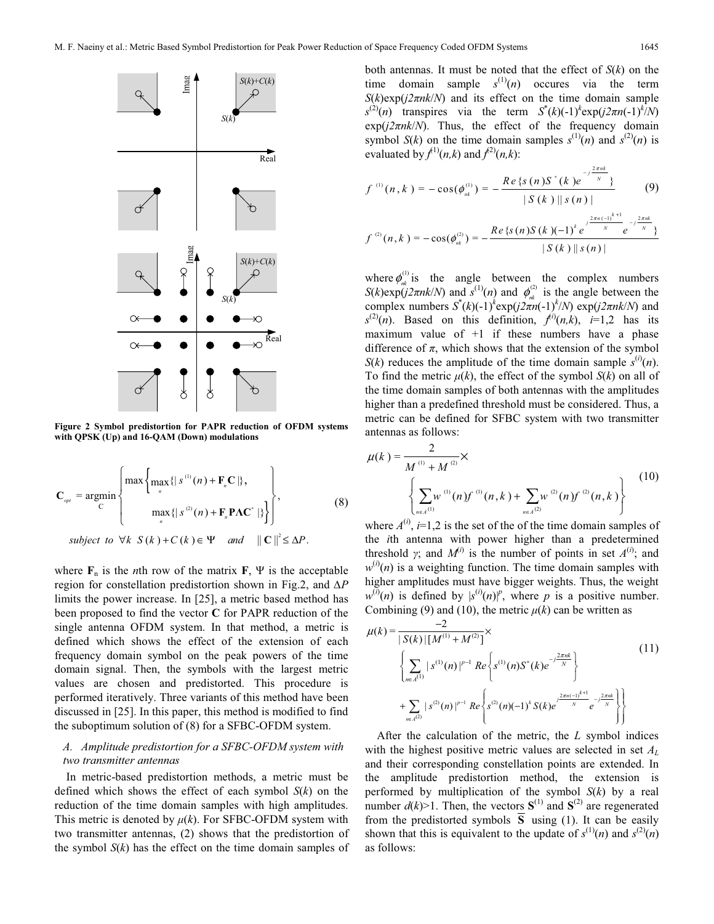

**Figure 2 Symbol predistortion for PAPR reduction of OFDM systems with QPSK (Up) and 16-QAM (Down) modulations** 

$$
\mathbf{C}_{\scriptscriptstyle{opt}} = \underset{C}{\operatorname{argmin}} \left\{ \underset{n}{\operatorname{max}} \left\{ \left\{ s^{\scriptscriptstyle{(1)}}(n) + \mathbf{F}_{\scriptscriptstyle{n}} \mathbf{C} \right\} \right\}, \right. \\
 \left. \underset{n}{\operatorname{max}} \left\{ \left\{ s^{\scriptscriptstyle{(2)}}(n) + \mathbf{F}_{\scriptscriptstyle{n}} \mathbf{P} \mathbf{\Lambda} \mathbf{C}^* \right\} \right\} \right\}, \tag{8}
$$
\n
$$
\text{subject to } \forall k \ S(k) + C(k) \in \Psi \quad \text{and} \quad \|\mathbf{C}\|^2 \leq \Delta P.
$$

where  $\mathbf{F}_n$  is the *n*th row of the matrix **F**,  $\Psi$  is the acceptable region for constellation predistortion shown in Fig.2, and  $\Delta P$ limits the power increase. In [25], a metric based method has been proposed to find the vector **C** for PAPR reduction of the single antenna OFDM system. In that method, a metric is defined which shows the effect of the extension of each frequency domain symbol on the peak powers of the time domain signal. Then, the symbols with the largest metric values are chosen and predistorted. This procedure is performed iteratively. Three variants of this method have been discussed in [25]. In this paper, this method is modified to find the suboptimum solution of (8) for a SFBC-OFDM system.

# *A. Amplitude predistortion for a SFBC-OFDM system with two transmitter antennas*

In metric-based predistortion methods, a metric must be defined which shows the effect of each symbol *S*(*k*) on the reduction of the time domain samples with high amplitudes. This metric is denoted by  $\mu(k)$ . For SFBC-OFDM system with two transmitter antennas, (2) shows that the predistortion of the symbol  $S(k)$  has the effect on the time domain samples of both antennas. It must be noted that the effect of *S*(*k*) on the time domain sample  $s^{(1)}(n)$  occures via the term  $S(k)exp(i2\pi n/k/N)$  and its effect on the time domain sample  $s^{(2)}(n)$  transpires via the term  $S^*(k)$ (-1)<sup>k</sup> $\exp(j2\pi n(-1)^k/N)$  $\exp(i2\pi n k/N)$ . Thus, the effect of the frequency domain symbol *S*(*k*) on the time domain samples  $s^{(1)}(n)$  and  $s^{(2)}(n)$  is evaluated by  $f^{(1)}(n,k)$  and  $f^{(2)}(n,k)$ :

$$
f^{(1)}(n,k) = -\cos(\phi_{nk}^{(1)}) = -\frac{Re\left\{s(n)S^*(k)e^{-j\frac{2\pi nk}{N}}\right\}}{|S(k)||s(n)|}
$$
(9)  

$$
f^{(2)}(n,k) = -\cos(\phi_{nk}^{(2)}) = -\frac{Re\left\{s(n)S(k)(-1)^k e^{-j\frac{2\pi n(-1)^{k+1}}{N}}e^{-j\frac{2\pi nk}{N}}\right\}}{|S(k)||s(n)|}
$$

where  $\phi_{nk}^{(1)}$  is the angle between the complex numbers  $S(k) \exp(j2\pi n k/N)$  and  $s^{(1)}(n)$  and  $\phi_{nk}^{(2)}$  is the angle between the complex numbers  $S^*(k)$ (-1)<sup> $k$ </sup> exp( $j2\pi n$ (-1)<sup> $k$ </sup>/*N*) exp( $j2\pi n$ *k*/*N*) and  $s^{(2)}(n)$ . Based on this definition,  $f^{(i)}(n,k)$ , *i*=1,2 has its maximum value of  $+1$  if these numbers have a phase difference of  $\pi$ , which shows that the extension of the symbol *S*(*k*) reduces the amplitude of the time domain sample  $s^{(i)}(n)$ . To find the metric  $\mu(k)$ , the effect of the symbol  $S(k)$  on all of the time domain samples of both antennas with the amplitudes higher than a predefined threshold must be considered. Thus, a metric can be defined for SFBC system with two transmitter antennas as follows:

$$
\mu(k) = \frac{2}{M^{(1)} + M^{(2)}} \times \left\{ \sum_{n \in A^{(1)}} w^{(1)}(n) f^{(1)}(n, k) + \sum_{n \in A^{(2)}} w^{(2)}(n) f^{(2)}(n, k) \right\}
$$
(10)

where  $A^{(i)}$ ,  $i=1,2$  is the set of the of the time domain samples of the *i*th antenna with power higher than a predetermined threshold *y*; and  $M^{(i)}$  is the number of points in set  $A^{(i)}$ ; and  $w^{(i)}(n)$  is a weighting function. The time domain samples with higher amplitudes must have bigger weights. Thus, the weight  $w^{(i)}(n)$  is defined by  $|s^{(i)}(n)|^p$ , where *p* is a positive number. Combining (9) and (10), the metric  $\mu(k)$  can be written as

$$
\mu(k) = \frac{-2}{|S(k)|[M^{(1)} + M^{(2)}]} \times \left\{ \sum_{n \in A^{(1)}} |S^{(1)}(n)|^{p-1} Re\left\{ s^{(1)}(n) S^*(k) e^{-\frac{r^2 \pi n k}{N}} \right\} + \sum_{n \in A^{(2)}} |S^{(2)}(n)|^{p-1} Re\left\{ s^{(2)}(n)(-1)^k S(k) e^{\frac{r^2 \pi n (-1)^{k+1}}{N}} e^{-\frac{r^2 \pi n k}{N}} \right\} \right\}
$$
\n(11)

After the calculation of the metric, the *L* symbol indices with the highest positive metric values are selected in set *AL* and their corresponding constellation points are extended. In the amplitude predistortion method, the extension is performed by multiplication of the symbol *S*(*k*) by a real number  $d(k)$ >1. Then, the vectors  $S^{(1)}$  and  $S^{(2)}$  are regenerated from the predistorted symbols  $\overline{S}$  using (1). It can be easily shown that this is equivalent to the update of  $s^{(1)}(n)$  and  $s^{(2)}(n)$ as follows: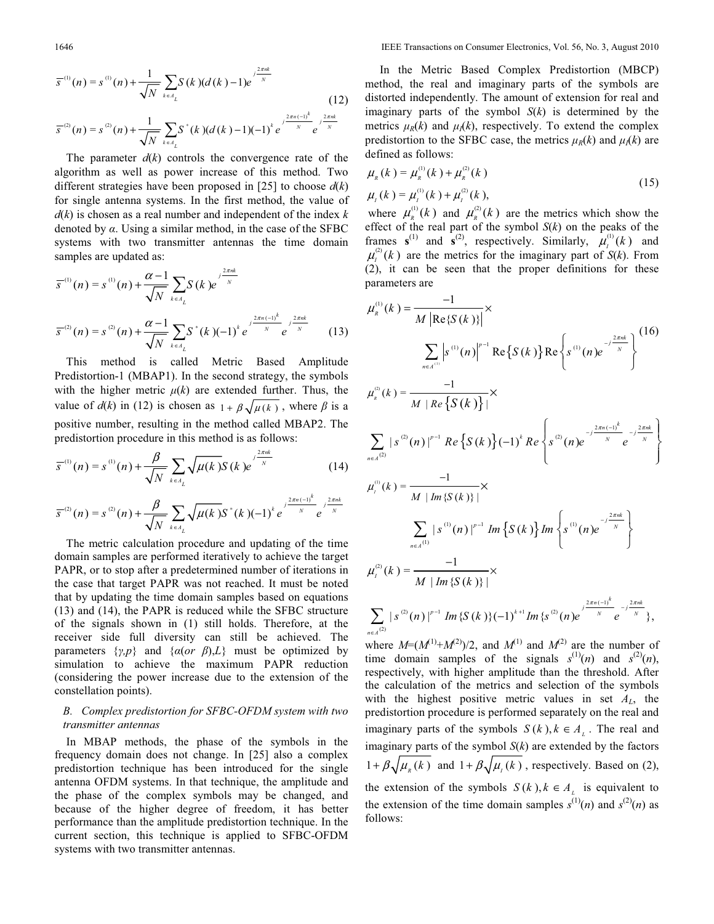samples are updated as:

$$
\overline{s}^{(1)}(n) = s^{(1)}(n) + \frac{1}{\sqrt{N}} \sum_{k \in A_L} S(k) (d(k) - 1) e^{-j\frac{2\pi nk}{N}}
$$
\n(12)\n
$$
\overline{s}^{(2)}(n) = s^{(2)}(n) + \frac{1}{\sqrt{N}} \sum_{k \in A_L} S^*(k) (d(k) - 1) (-1)^k e^{-j\frac{2\pi n (-1)^k}{N}} e^{-j\frac{2\pi nk}{N}}
$$

$$
\sqrt{N} \sum_{k \in A_L}
$$
\nThe parameter  $d(k)$  controls the convergence rate of the algorithm as well as power increase of this method. Two different strategies have been proposed in [25] to choose  $d(k)$  for single antenna systems. In the first method, the value of  $d(k)$  is chosen as a real number and independent of the index  $k$  denoted by  $\alpha$ . Using a similar method, in the case of the SFBC systems with two transmitter antennas the time domain

$$
\overline{s}^{(1)}(n) = s^{(1)}(n) + \frac{\alpha - 1}{\sqrt{N}} \sum_{k \in A_L} S(k) e^{j\frac{2\pi nk}{N}}
$$
  

$$
\overline{s}^{(2)}(n) = s^{(2)}(n) + \frac{\alpha - 1}{\sqrt{N}} \sum_{k \in A_L} S^*(k) (-1)^k e^{j\frac{2\pi n (-1)^k}{N}} e^{j\frac{2\pi nk}{N}} \qquad (13)
$$

This method is called Metric Based Amplitude Predistortion-1 (MBAP1). In the second strategy, the symbols with the higher metric  $\mu(k)$  are extended further. Thus, the value of  $d(k)$  in (12) is chosen as  $1 + \beta \sqrt{\mu(k)}$ , where  $\beta$  is a positive number, resulting in the method called MBAP2. The predistortion procedure in this method is as follows:

$$
\overline{s}^{(1)}(n) = s^{(1)}(n) + \frac{\beta}{\sqrt{N}} \sum_{k \in A_{L}} \sqrt{\mu(k)} S(k) e^{j\frac{2\pi nk}{N}}
$$
(14)

$$
\overline{s}^{(2)}(n) = s^{(2)}(n) + \frac{\beta}{\sqrt{N}} \sum_{k \in A_L} \sqrt{\mu(k)} S^*(k) (-1)^k e^{j \frac{2\pi n (-1)^k}{N}} e^{j \frac{2\pi nk}{N}}
$$

The metric calculation procedure and updating of the time domain samples are performed iteratively to achieve the target PAPR, or to stop after a predetermined number of iterations in the case that target PAPR was not reached. It must be noted that by updating the time domain samples based on equations (13) and (14), the PAPR is reduced while the SFBC structure of the signals shown in (1) still holds. Therefore, at the receiver side full diversity can still be achieved. The parameters  $\{ \gamma, p \}$  and  $\{ \alpha (or \beta), L \}$  must be optimized by simulation to achieve the maximum PAPR reduction (considering the power increase due to the extension of the constellation points).

# *B. Complex predistortion for SFBC-OFDM system with two transmitter antennas*

In MBAP methods, the phase of the symbols in the frequency domain does not change. In [25] also a complex predistortion technique has been introduced for the single antenna OFDM systems. In that technique, the amplitude and the phase of the complex symbols may be changed, and because of the higher degree of freedom, it has better performance than the amplitude predistortion technique. In the current section, this technique is applied to SFBC-OFDM systems with two transmitter antennas.

 In the Metric Based Complex Predistortion (MBCP) method, the real and imaginary parts of the symbols are distorted independently. The amount of extension for real and imaginary parts of the symbol  $S(k)$  is determined by the metrics  $\mu_R(k)$  and  $\mu_I(k)$ , respectively. To extend the complex predistortion to the SFBC case, the metrics  $\mu_R(k)$  and  $\mu_I(k)$  are defined as follows:

$$
\mu_{R}(k) = \mu_{R}^{(1)}(k) + \mu_{R}^{(2)}(k)
$$
\n
$$
\mu_{I}(k) = \mu_{I}^{(1)}(k) + \mu_{I}^{(2)}(k),
$$
\n(15)

where  $\mu_k^{(i)}(k)$  and  $\mu_k^{(2)}(k)$  are the metrics which show the effect of the real part of the symbol  $S(k)$  on the peaks of the frames  $s^{(1)}$  and  $s^{(2)}$ , respectively. Similarly,  $\mu_l^{(1)}(k)$  and  $\mu_i^{(2)}(k)$  are the metrics for the imaginary part of  $S(k)$ . From (2), it can be seen that the proper definitions for these parameters are

$$
\mu_{R}^{(1)}(k) = \frac{-1}{M \left| \text{Re}\{S(k)\} \right|} \times
$$
\n
$$
\sum_{n \in A^{(1)}} \left| s^{(1)}(n) \right|^{p-1} \text{Re}\{S(k)\} \text{Re}\left\{ s^{(1)}(n) e^{-j\frac{2\pi nk}{N}} \right\}^{(16)}
$$
\n
$$
\mu_{R}^{(2)}(k) = \frac{-1}{M \left| \text{Re}\{S(k)\} \right|} \times
$$
\n
$$
\sum_{n \in A^{(2)}} |s^{(2)}(n)|^{p-1} \text{ Re}\{S(k)\} (-1)^{k} \text{ Re}\left\{ s^{(2)}(n) e^{-j\frac{2\pi n (-1)^{k}}{N}} e^{-j\frac{2\pi nk}{N}} \right\}
$$
\n
$$
\mu_{I}^{(1)}(k) = \frac{-1}{M \left| \text{Im}\{S(k)\} \right|} \times
$$
\n
$$
\sum_{n \in A^{(1)}} |s^{(1)}(n)|^{p-1} \text{ Im}\{S(k)\} \text{ Im}\left\{ s^{(1)}(n) e^{-j\frac{2\pi nk}{N}} \right\}
$$
\n
$$
\mu_{I}^{(2)}(k) = \frac{-1}{M \left| \text{Im}\{S(k)\} \right|} \times
$$

$$
\sum_{n\in A^{(2)}} |s^{(2)}(n)|^{p-1} Im\{S(k)\} (-1)^{k+1} Im\{s^{(2)}(n)e^{j\frac{2\pi n(-1)^k}{N}}e^{-j\frac{2\pi nk}{N}}\},
$$

where  $M=(M^{(1)}+M^{(2)})/2$ , and  $M^{(1)}$  and  $M^{(2)}$  are the number of time domain samples of the signals  $s^{(1)}(n)$  and  $s^{(2)}(n)$ , respectively, with higher amplitude than the threshold. After the calculation of the metrics and selection of the symbols with the highest positive metric values in set  $A_L$ , the predistortion procedure is performed separately on the real and imaginary parts of the symbols  $S(k)$ ,  $k \in A_{\ell}$ . The real and imaginary parts of the symbol *S*(*k*) are extended by the factors  $1 + \beta \sqrt{\mu_k(k)}$  and  $1 + \beta \sqrt{\mu_k(k)}$ , respectively. Based on (2), the extension of the symbols  $S(k)$ ,  $k \in A_L$  is equivalent to the extension of the time domain samples  $s^{(1)}(n)$  and  $s^{(2)}(n)$  as follows: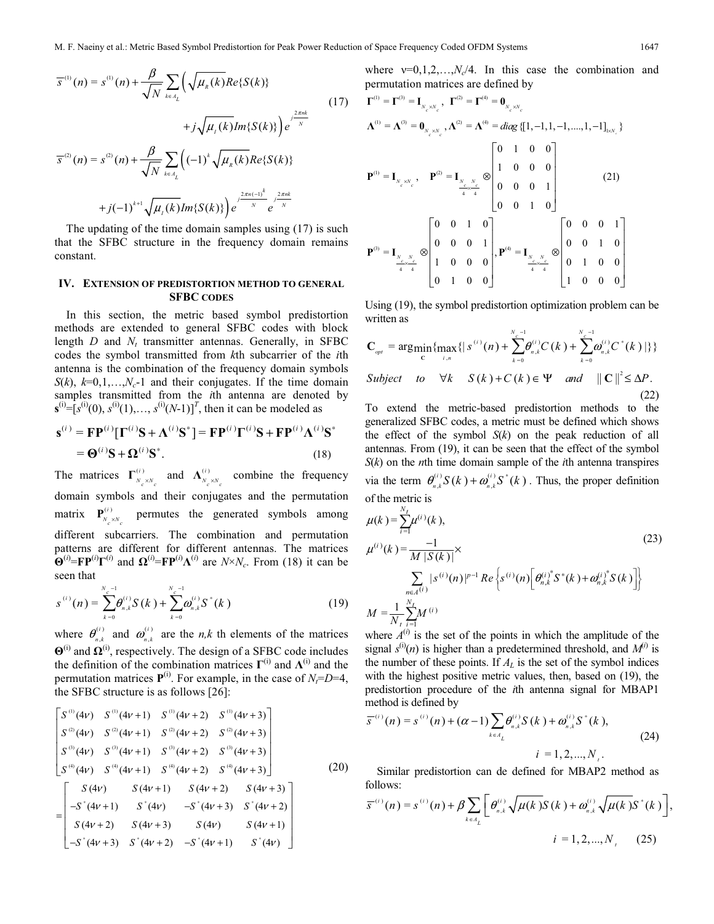$$
\overline{s}^{(1)}(n) = s^{(1)}(n) + \frac{\beta}{\sqrt{N}} \sum_{k \in A_L} \left( \sqrt{\mu_k(k)} Re\{S(k)\} + j \sqrt{\mu_L(k)} Im\{S(k)\} \right) e^{\frac{j2\pi nk}{N}}
$$
(17)  

$$
\overline{s}^{(2)}(n) = s^{(2)}(n) + \frac{\beta}{\sqrt{N}} \sum_{k \in A_L} \left( (-1)^k \sqrt{\mu_k(k)} Re\{S(k)\} + j (-1)^{k+1} \sqrt{\mu_L(k)} Im\{S(k)\} \right) e^{\frac{j2\pi n(-1)^k}{N}} e^{\frac{j2\pi nk}{N}}
$$

The updating of the time domain samples using (17) is such that the SFBC structure in the frequency domain remains constant.

# **IV. EXTENSION OF PREDISTORTION METHOD TO GENERAL SFBC CODES**

In this section, the metric based symbol predistortion methods are extended to general SFBC codes with block length  $D$  and  $N_t$  transmitter antennas. Generally, in SFBC codes the symbol transmitted from *k*th subcarrier of the *i*th antenna is the combination of the frequency domain symbols  $S(k)$ ,  $k=0,1,\ldots,N_c-1$  and their conjugates. If the time domain samples transmitted from the *i*th antenna are denoted by  $\mathbf{s}^{(i)} = [s^{(i)}(0), s^{(i)}(1), \dots, s^{(i)}(N-1)]^T$ , then it can be modeled as

$$
\mathbf{s}^{(i)} = \mathbf{F} \mathbf{P}^{(i)} [\boldsymbol{\Gamma}^{(i)} \mathbf{S} + \boldsymbol{\Lambda}^{(i)} \mathbf{S}^*] = \mathbf{F} \mathbf{P}^{(i)} \boldsymbol{\Gamma}^{(i)} \mathbf{S} + \mathbf{F} \mathbf{P}^{(i)} \boldsymbol{\Lambda}^{(i)} \mathbf{S}^*
$$
  
=  $\mathbf{\Theta}^{(i)} \mathbf{S} + \boldsymbol{\Omega}^{(i)} \mathbf{S}^*.$  (18)

The matrices  $\Gamma_{N_c \times N_c}^{(i)}$  and  $\Lambda_{N_c \times N_c}^{(i)}$  combine the frequency domain symbols and their conjugates and the permutation matrix  $P_{N_c \times N_c}^{(i)}$  permutes the generated symbols among different subcarriers. The combination and permutation patterns are different for different antennas. The matrices  $\mathbf{\Theta}^{(i)} = \mathbf{FP}^{(i)}\mathbf{\Gamma}^{(i)}$  and  $\mathbf{\Omega}^{(i)} = \mathbf{FP}^{(i)}\mathbf{\Lambda}^{(i)}$  are  $N \times N_c$ . From (18) it can be seen that

$$
s^{(i)}(n) = \sum_{k=0}^{N_c-1} \theta_{n,k}^{(i)} S(k) + \sum_{k=0}^{N_c-1} \omega_{n,k}^{(i)} S^*(k)
$$
 (19)

where  $\theta_{n,k}^{(i)}$  $\theta_{n,k}^{(i)}$  and  $\omega_{n,k}^{(i)}$  $\omega_{n,k}^{(i)}$  are the *n,k* th elements of the matrices  $\mathbf{\Theta}^{(i)}$  and  $\mathbf{\Omega}^{(i)}$ , respectively. The design of a SFBC code includes the definition of the combination matrices  $\mathbf{\Gamma}^{(i)}$  and  $\mathbf{\Lambda}^{(i)}$  and the permutation matrices  $P^{(i)}$ . For example, in the case of  $N_f = D=4$ , the SFBC structure is as follows [26]:

$$
\begin{bmatrix}\nS^{(i)}(4\nu) & S^{(i)}(4\nu+1) & S^{(i)}(4\nu+2) & S^{(i)}(4\nu+3) \\
S^{(2)}(4\nu) & S^{(2)}(4\nu+1) & S^{(2)}(4\nu+2) & S^{(2)}(4\nu+3) \\
S^{(3)}(4\nu) & S^{(3)}(4\nu+1) & S^{(3)}(4\nu+2) & S^{(3)}(4\nu+3) \\
S^{(4)}(4\nu) & S^{(4)}(4\nu+1) & S^{(4)}(4\nu+2) & S^{(4)}(4\nu+3)\n\end{bmatrix}
$$
\n(20)\n
$$
= \begin{bmatrix}\nS(4\nu) & S(4\nu+1) & S(4\nu+2) & S(4\nu+3) \\
-S^*(4\nu+1) & S^*(4\nu) & -S^*(4\nu+3) & S^*(4\nu+2) \\
S(4\nu+3) & S^*(4\nu+2) & -S^*(4\nu+1) & S^*(4\nu)\n\end{bmatrix}
$$

where  $v=0,1,2,...,N_c/4$ . In this case the combination and permutation matrices are defined by

$$
\mathbf{\Gamma}^{(0)} = \mathbf{\Gamma}^{(3)} = \mathbf{I}_{N_c \times N_c}, \ \mathbf{\Gamma}^{(2)} = \mathbf{\Gamma}^{(4)} = \mathbf{0}_{N_c \times N_c}
$$
\n
$$
\mathbf{\Lambda}^{(1)} = \mathbf{\Lambda}^{(3)} = \mathbf{0}_{N_c \times N_c}, \mathbf{\Lambda}^{(2)} = \mathbf{\Lambda}^{(4)} = \text{diag}\left\{ [1, -1, 1, -1, ..., 1, -1]_{\text{I}_{\text{XX}_c}} \right\}
$$
\n
$$
\mathbf{P}^{(1)} = \mathbf{I}_{N_c \times N_c}, \quad \mathbf{P}^{(2)} = \mathbf{I}_{\frac{N_c \times N_c}{4}} \otimes \begin{bmatrix} 0 & 1 & 0 & 0 \\ 1 & 0 & 0 & 0 \\ 0 & 0 & 0 & 1 \\ 0 & 0 & 1 & 0 \end{bmatrix} \qquad (21)
$$
\n
$$
\mathbf{P}^{(3)} = \mathbf{I}_{\frac{N_c \times N_c}{4}} \otimes \begin{bmatrix} 0 & 0 & 1 & 0 \\ 0 & 0 & 0 & 1 \\ 1 & 0 & 0 & 0 \\ 1 & 0 & 0 & 0 \end{bmatrix}, \mathbf{P}^{(4)} = \mathbf{I}_{\frac{N_c \times N_c}{4 \times 4}} \otimes \begin{bmatrix} 0 & 0 & 0 & 1 \\ 0 & 0 & 1 & 0 \\ 0 & 1 & 0 & 0 \\ 0 & 1 & 0 & 0 \end{bmatrix}
$$

Using (19), the symbol predistortion optimization problem can be written as

$$
\mathbf{C}_{opt} = \arg\min_{\mathbf{C}} \{ \max_{i,n} \{ | \mathbf{s}^{(i)}(n) + \sum_{k=0}^{N_c-1} \theta_{n,k}^{(i)} C(k) + \sum_{k=0}^{N_c-1} \omega_{n,k}^{(i)} C^*(k) | \} \}
$$
  
Subject to  $\forall k$   $S(k) + C(k) \in \Psi$  and  $||\mathbf{C}||^2 \leq \Delta P$ . (22)

To extend the metric-based predistortion methods to the generalized SFBC codes, a metric must be defined which shows the effect of the symbol *S*(*k*) on the peak reduction of all antennas. From (19), it can be seen that the effect of the symbol *S*(*k*) on the *n*th time domain sample of the *i*th antenna transpires via the term  $\theta_{n,k}^{(i)} S(k) + \omega_{n,k}^{(i)} S^*(k)$ . Thus, the proper definition of the metric is

$$
\mu(k) = \sum_{i=1}^{N_t} \mu^{(i)}(k),
$$
\n
$$
\mu^{(i)}(k) = \frac{-1}{M \left|S(k)\right|} \times
$$
\n
$$
\sum_{n \in A^{(i)}} |s^{(i)}(n)|^{p-1} Re \left\{ s^{(i)}(n) \left[ \theta_{n,k}^{(i)*} S^*(k) + \omega_{n,k}^{(i)*} S(k) \right] \right\}
$$
\n
$$
M = \frac{1}{N_t} \sum_{i=1}^{N_t} M^{(i)}
$$
\n(23)

where  $A^{(i)}$  is the set of the points in which the amplitude of the signal  $s^{(i)}(n)$  is higher than a predetermined threshold, and  $M^{(i)}$  is the number of these points. If  $A_L$  is the set of the symbol indices with the highest positive metric values, then, based on (19), the predistortion procedure of the *i*th antenna signal for MBAP1 method is defined by

$$
\overline{s}^{(i)}(n) = s^{(i)}(n) + (\alpha - 1) \sum_{k \in A_L} \theta_{n,k}^{(i)} S(k) + \omega_{n,k}^{(i)} S^*(k),
$$
\n(24)

Similar predistortion can de defined for MBAP2 method as follows:

$$
\overline{s}^{(i)}(n) = s^{(i)}(n) + \beta \sum_{k \in A_L} \left[ \theta_{n,k}^{(i)} \sqrt{\mu(k)} S(k) + \omega_{n,k}^{(i)} \sqrt{\mu(k)} S^*(k) \right],
$$
  
  $i = 1, 2, ..., N, (25)$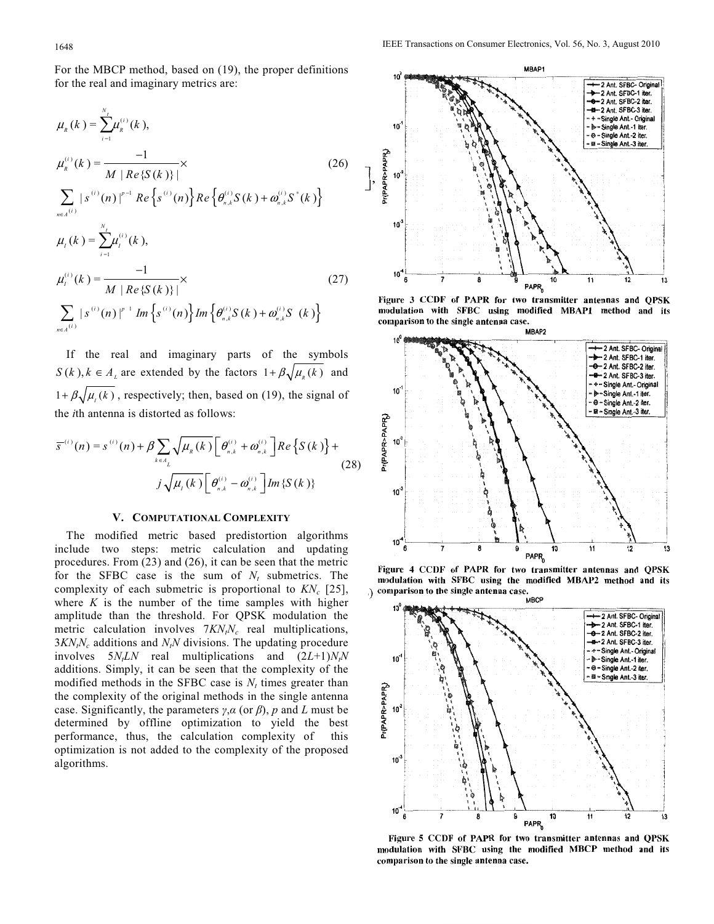For the MBCP method, based on (19), the proper definitions for the real and imaginary metrics are:

$$
\mu_{R}(k) = \sum_{i=1}^{N_{t}} \mu_{R}^{(i)}(k),
$$
\n
$$
\mu_{R}^{(i)}(k) = \frac{-1}{M \mid Re\{S(k)\}\mid} \times
$$
\n
$$
\sum_{n \in A^{(i)}} |s^{(i)}(n)|^{p-1} Re\{s^{(i)}(n)\} Re\{\theta_{n,k}^{(i)}S(k) + \omega_{n,k}^{(i)}S^{*}(k)\}
$$
\n
$$
\mu_{I}(k) = \sum_{i=1}^{N_{t}} \mu_{I}^{(i)}(k),
$$
\n
$$
\mu_{I}^{(i)}(k) = \frac{-1}{M \mid Re\{S(k)\}\mid} \times
$$
\n
$$
\sum_{n \in A^{(i)}} |s^{(i)}(n)|^{p-1} Im\{s^{(i)}(n)\} Im\{\theta_{n,k}^{(i)}S(k) + \omega_{n,k}^{(i)}S(k)\}
$$
\n(27)

If the real and imaginary parts of the symbols  $S(k)$ ,  $k \in A_k$  are extended by the factors  $1 + \beta \sqrt{\mu_k(k)}$  and  $1 + \beta \sqrt{\mu_{\mu}(k)}$ , respectively; then, based on (19), the signal of the *i*th antenna is distorted as follows:

$$
\overline{s}^{(i)}(n) = s^{(i)}(n) + \beta \sum_{k \in A_L} \sqrt{\mu_k(k)} \left[ \theta_{n,k}^{(i)} + \omega_{n,k}^{(i)} \right] Re \left\{ S(k) \right\} +
$$
\n
$$
j \sqrt{\mu_k(k)} \left[ \theta_{n,k}^{(i)} - \omega_{n,k}^{(i)} \right] Im \left\{ S(k) \right\}
$$
\n(28)

### **V. COMPUTATIONAL COMPLEXITY**

The modified metric based predistortion algorithms include two steps: metric calculation and updating procedures. From (23) and (26), it can be seen that the metric for the SFBC case is the sum of  $N_t$  submetrics. The complexity of each submetric is proportional to  $KN_c$  [25], where  $K$  is the number of the time samples with higher amplitude than the threshold. For QPSK modulation the metric calculation involves  $7KN_tN_c$  real multiplications, 3*KN<sub>Nc</sub>* additions and *N<sub>t</sub>N* divisions. The updating procedure involves  $5N<sub>i</sub>LN$  real multiplications and  $(2L+1)N<sub>i</sub>N$ additions. Simply, it can be seen that the complexity of the modified methods in the SFBC case is  $N_t$  times greater than the complexity of the original methods in the single antenna case. Significantly, the parameters  $\gamma$ , $\alpha$  (or  $\beta$ ),  $p$  and *L* must be determined by offline optimization to yield the best performance, thus, the calculation complexity of this optimization is not added to the complexity of the proposed algorithms.



Figure 3 CCDF of PAPR for two transmitter antennas and OPSK modulation with SFBC using modified MBAP1 method and its comparison to the single antenna case.



Figure 4 CCDF of PAPR for two transmitter antennas and QPSK modulation with SFBC using the modified MBAP2 method and its comparison to the single antenna case.



Figure 5 CCDF of PAPR for two transmitter antennas and QPSK modulation with SFBC using the modified MBCP method and its comparison to the single antenna case.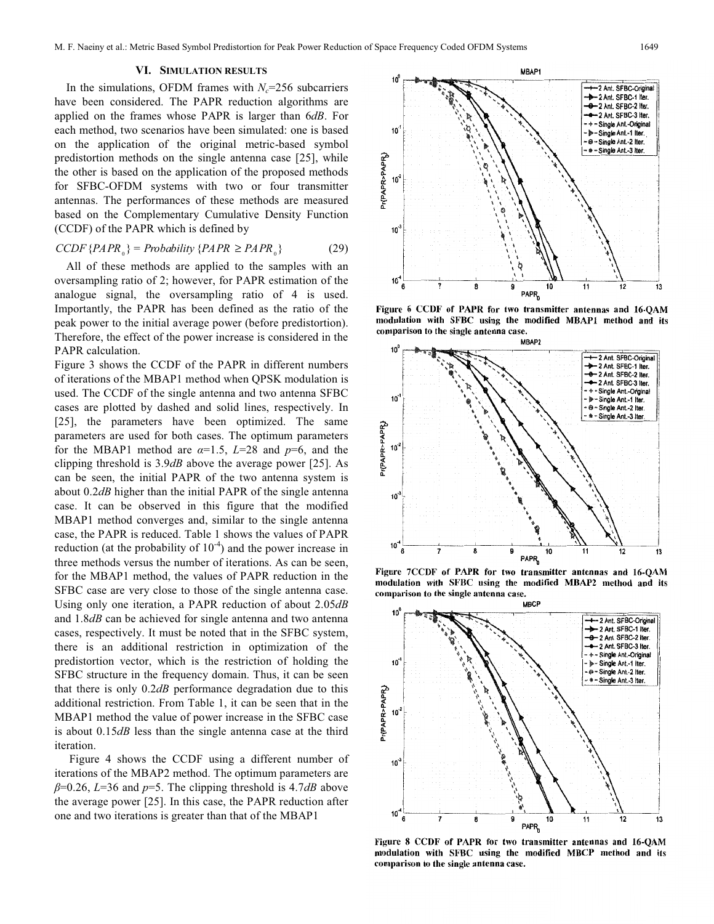# **VI. SIMULATION RESULTS**

In the simulations, OFDM frames with  $N_c$ =256 subcarriers have been considered. The PAPR reduction algorithms are applied on the frames whose PAPR is larger than 6*dB*. For each method, two scenarios have been simulated: one is based on the application of the original metric-based symbol predistortion methods on the single antenna case [25], while the other is based on the application of the proposed methods for SFBC-OFDM systems with two or four transmitter antennas. The performances of these methods are measured based on the Complementary Cumulative Density Function (CCDF) of the PAPR which is defined by

$$
CCDF\{PAPR_{0}\} = Probability\{PAPR \geq PAPR_{0}\}
$$
 (29)

All of these methods are applied to the samples with an oversampling ratio of 2; however, for PAPR estimation of the analogue signal, the oversampling ratio of 4 is used. Importantly, the PAPR has been defined as the ratio of the peak power to the initial average power (before predistortion). Therefore, the effect of the power increase is considered in the PAPR calculation.

Figure 3 shows the CCDF of the PAPR in different numbers of iterations of the MBAP1 method when QPSK modulation is used. The CCDF of the single antenna and two antenna SFBC cases are plotted by dashed and solid lines, respectively. In [25], the parameters have been optimized. The same parameters are used for both cases. The optimum parameters for the MBAP1 method are  $\alpha=1.5$ ,  $L=28$  and  $p=6$ , and the clipping threshold is 3.9*dB* above the average power [25]. As can be seen, the initial PAPR of the two antenna system is about 0.2*dB* higher than the initial PAPR of the single antenna case. It can be observed in this figure that the modified MBAP1 method converges and, similar to the single antenna case, the PAPR is reduced. Table 1 shows the values of PAPR reduction (at the probability of  $10^{-4}$ ) and the power increase in three methods versus the number of iterations. As can be seen, for the MBAP1 method, the values of PAPR reduction in the SFBC case are very close to those of the single antenna case. Using only one iteration, a PAPR reduction of about 2.05*dB* and 1.8*dB* can be achieved for single antenna and two antenna cases, respectively. It must be noted that in the SFBC system, there is an additional restriction in optimization of the predistortion vector, which is the restriction of holding the SFBC structure in the frequency domain. Thus, it can be seen that there is only 0.2*dB* performance degradation due to this additional restriction. From Table 1, it can be seen that in the MBAP1 method the value of power increase in the SFBC case is about 0.15*dB* less than the single antenna case at the third iteration.

 Figure 4 shows the CCDF using a different number of iterations of the MBAP2 method. The optimum parameters are  $\beta$ =0.26, *L*=36 and *p*=5. The clipping threshold is 4.7*dB* above the average power [25]. In this case, the PAPR reduction after one and two iterations is greater than that of the MBAP1



Figure 6 CCDF of PAPR for two transmitter antennas and 16-QAM modulation with SFBC using the modified MBAP1 method and its comparison to the single antenna case.



Figure 7CCDF of PAPR for two transmitter antennas and 16-QAM modulation with SFBC using the modified MBAP2 method and its comparison to the single antenna case.



Figure 8 CCDF of PAPR for two transmitter antennas and 16-OAM modulation with SFBC using the modified MBCP method and its comparison to the single antenna case.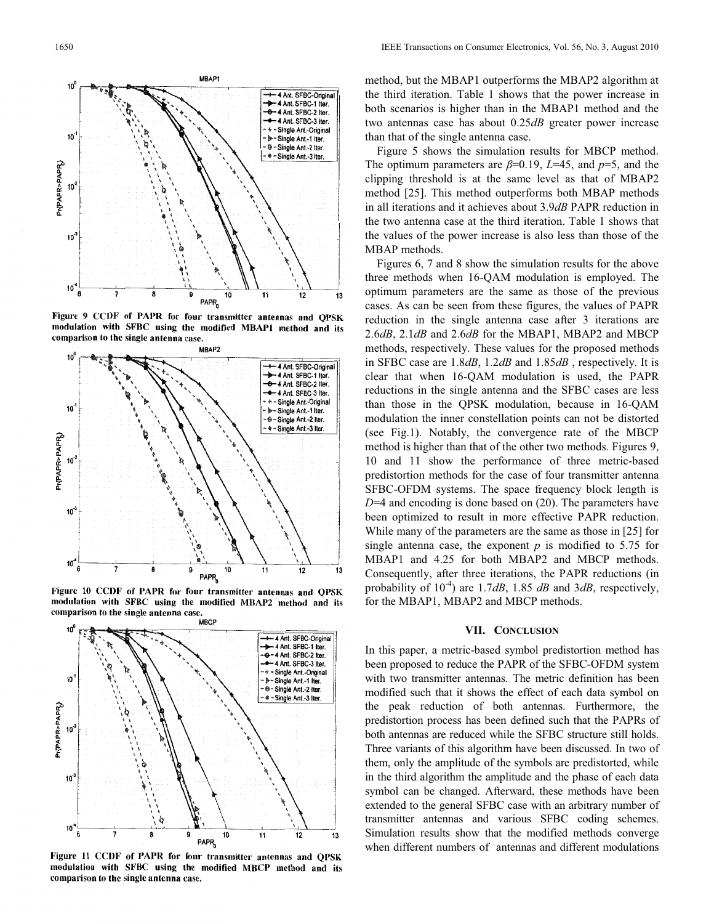

Figure 9 CCDF of PAPR for four transmitter antennas and QPSK modulation with SFBC using the modified MBAP1 method and its comparison to the single antenna case.



Figure 10 CCDF of PAPR for four transmitter antennas and QPSK modulation with SFBC using the modified MBAP2 method and its comparison to the single antenna case.



Figure 11 CCDF of PAPR for four transmitter antennas and QPSK modulation with SFBC using the modified MBCP method and its comparison to the single antenna case.

method, but the MBAP1 outperforms the MBAP2 algorithm at the third iteration. Table 1 shows that the power increase in both scenarios is higher than in the MBAP1 method and the two antennas case has about 0.25*dB* greater power increase than that of the single antenna case.

Figure 5 shows the simulation results for MBCP method. The optimum parameters are  $\beta=0.19$ ,  $L=45$ , and  $p=5$ , and the clipping threshold is at the same level as that of MBAP2 method [25]. This method outperforms both MBAP methods in all iterations and it achieves about 3.9*dB* PAPR reduction in the two antenna case at the third iteration. Table 1 shows that the values of the power increase is also less than those of the MBAP methods.

Figures 6, 7 and 8 show the simulation results for the above three methods when 16-QAM modulation is employed. The optimum parameters are the same as those of the previous cases. As can be seen from these figures, the values of PAPR reduction in the single antenna case after 3 iterations are 2.6*dB*, 2.1*dB* and 2.6*dB* for the MBAP1, MBAP2 and MBCP methods, respectively. These values for the proposed methods in SFBC case are 1.8*dB*, 1.2*dB* and 1.85*dB* , respectively. It is clear that when 16-QAM modulation is used, the PAPR reductions in the single antenna and the SFBC cases are less than those in the QPSK modulation, because in 16-QAM modulation the inner constellation points can not be distorted (see Fig.1). Notably, the convergence rate of the MBCP method is higher than that of the other two methods. Figures 9, 10 and 11 show the performance of three metric-based predistortion methods for the case of four transmitter antenna SFBC-OFDM systems. The space frequency block length is *D*=4 and encoding is done based on (20). The parameters have been optimized to result in more effective PAPR reduction. While many of the parameters are the same as those in [25] for single antenna case, the exponent  $p$  is modified to 5.75 for MBAP1 and 4.25 for both MBAP2 and MBCP methods. Consequently, after three iterations, the PAPR reductions (in probability of 10-4) are 1.7*dB*, 1.85 *dB* and 3*dB*, respectively, for the MBAP1, MBAP2 and MBCP methods.

## **VII. CONCLUSION**

In this paper, a metric-based symbol predistortion method has been proposed to reduce the PAPR of the SFBC-OFDM system with two transmitter antennas. The metric definition has been modified such that it shows the effect of each data symbol on the peak reduction of both antennas. Furthermore, the predistortion process has been defined such that the PAPRs of both antennas are reduced while the SFBC structure still holds. Three variants of this algorithm have been discussed. In two of them, only the amplitude of the symbols are predistorted, while in the third algorithm the amplitude and the phase of each data symbol can be changed. Afterward, these methods have been extended to the general SFBC case with an arbitrary number of transmitter antennas and various SFBC coding schemes. Simulation results show that the modified methods converge when different numbers of antennas and different modulations